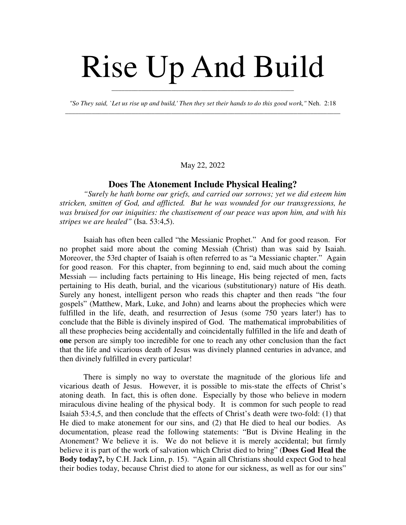# Rise Up And Build

*"So They said, `Let us rise up and build,' Then they set their hands to do this good work,"* Neh. 2:18 \_\_\_\_\_\_\_\_\_\_\_\_\_\_\_\_\_\_\_\_\_\_\_\_\_\_\_\_\_\_\_\_\_\_\_\_\_\_\_\_\_\_\_\_\_\_\_\_\_\_\_\_\_\_\_\_\_\_\_\_\_\_\_\_\_\_\_\_\_\_\_\_\_\_\_\_\_\_\_\_\_\_\_

\_\_\_\_\_\_\_\_\_\_\_\_\_\_\_\_\_\_\_\_\_\_\_\_\_\_\_\_\_\_\_\_\_\_\_\_\_\_\_\_\_\_\_\_\_\_\_\_\_\_\_\_\_\_\_

May 22, 2022

# **Does The Atonement Include Physical Healing?**

*"Surely he hath borne our griefs, and carried our sorrows; yet we did esteem him stricken, smitten of God, and afflicted. But he was wounded for our transgressions, he was bruised for our iniquities: the chastisement of our peace was upon him, and with his stripes we are healed"* (Isa. 53:4,5).

Isaiah has often been called "the Messianic Prophet." And for good reason. For no prophet said more about the coming Messiah (Christ) than was said by Isaiah. Moreover, the 53rd chapter of Isaiah is often referred to as "a Messianic chapter." Again for good reason. For this chapter, from beginning to end, said much about the coming Messiah — including facts pertaining to His lineage, His being rejected of men, facts pertaining to His death, burial, and the vicarious (substitutionary) nature of His death. Surely any honest, intelligent person who reads this chapter and then reads "the four gospels" (Matthew, Mark, Luke, and John) and learns about the prophecies which were fulfilled in the life, death, and resurrection of Jesus (some 750 years later!) has to conclude that the Bible is divinely inspired of God. The mathematical improbabilities of all these prophecies being accidentally and coincidentally fulfilled in the life and death of **one** person are simply too incredible for one to reach any other conclusion than the fact that the life and vicarious death of Jesus was divinely planned centuries in advance, and then divinely fulfilled in every particular!

There is simply no way to overstate the magnitude of the glorious life and vicarious death of Jesus. However, it is possible to mis-state the effects of Christ's atoning death. In fact, this is often done. Especially by those who believe in modern miraculous divine healing of the physical body. It is common for such people to read Isaiah 53:4,5, and then conclude that the effects of Christ's death were two-fold: (1) that He died to make atonement for our sins, and (2) that He died to heal our bodies. As documentation, please read the following statements: "But is Divine Healing in the Atonement? We believe it is. We do not believe it is merely accidental; but firmly believe it is part of the work of salvation which Christ died to bring" (**Does God Heal the Body today?,** by C.H. Jack Linn, p. 15). "Again all Christians should expect God to heal their bodies today, because Christ died to atone for our sickness, as well as for our sins"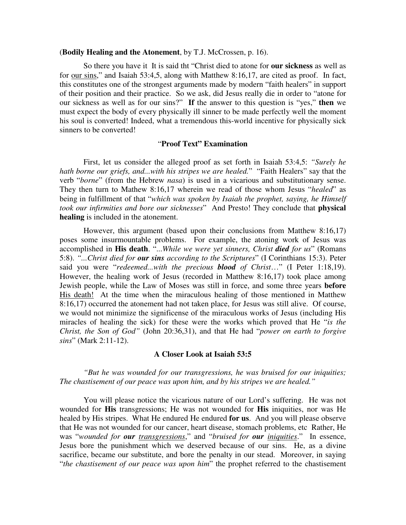## (**Bodily Healing and the Atonement**, by T.J. McCrossen, p. 16).

So there you have it It is said tht "Christ died to atone for **our sickness** as well as for our sins," and Isaiah 53:4,5, along with Matthew 8:16,17, are cited as proof. In fact, this constitutes one of the strongest arguments made by modern "faith healers" in support of their position and their practice. So we ask, did Jesus really die in order to "atone for our sickness as well as for our sins?" **If** the answer to this question is "yes," **then** we must expect the body of every physically ill sinner to be made perfectly well the moment his soul is converted! Indeed, what a tremendous this-world incentive for physically sick sinners to be converted!

### "**Proof Text" Examination**

First, let us consider the alleged proof as set forth in Isaiah 53:4,5: *"Surely he hath borne our griefs, and...with his stripes we are healed.*" "Faith Healers" say that the verb "*borne*" (from the Hebrew *nasa*) is used in a vicarious and substitutionary sense. They then turn to Mathew 8:16,17 wherein we read of those whom Jesus "*healed*" as being in fulfillment of that "*which was spoken by Isaiah the prophet, saying, he Himself took our infirmities and bore our sicknesses*" And Presto! They conclude that **physical healing** is included in the atonement.

However, this argument (based upon their conclusions from Matthew 8:16,17) poses some insurmountable problems. For example, the atoning work of Jesus was accomplished in **His death**. "...*While we were yet sinners, Christ died for us*" (Romans 5:8). *"...Christ died for our sins according to the Scriptures*" (I Corinthians 15:3). Peter said you were "*redeemed...with the precious blood of Christ*…" (I Peter 1:18,19). However, the healing work of Jesus (recorded in Matthew 8:16,17) took place among Jewish people, while the Law of Moses was still in force, and some three years **before** His death! At the time when the miraculous healing of those mentioned in Matthew 8:16,17) occurred the atonement had not taken place, for Jesus was still alive. Of course, we would not minimize the significense of the miraculous works of Jesus (including His miracles of healing the sick) for these were the works which proved that He "*is the Christ, the Son of God"* (John 20:36,31), and that He had "*power on earth to forgive sins*" (Mark 2:11-12).

# **A Closer Look at Isaiah 53:5**

*"But he was wounded for our transgressions, he was bruised for our iniquities; The chastisement of our peace was upon him, and by his stripes we are healed."*

You will please notice the vicarious nature of our Lord's suffering. He was not wounded for **His** transgressions; He was not wounded for **His** iniquities, nor was He healed by His stripes. What He endured He endured **for us**. And you will please observe that He was not wounded for our cancer, heart disease, stomach problems, etc Rather, He was "*wounded for our transgressions*," and "*bruised for our iniquities*." In essence, Jesus bore the punishment which we deserved because of our sins. He, as a divine sacrifice, became our substitute, and bore the penalty in our stead. Moreover, in saying "*the chastisement of our peace was upon him*" the prophet referred to the chastisement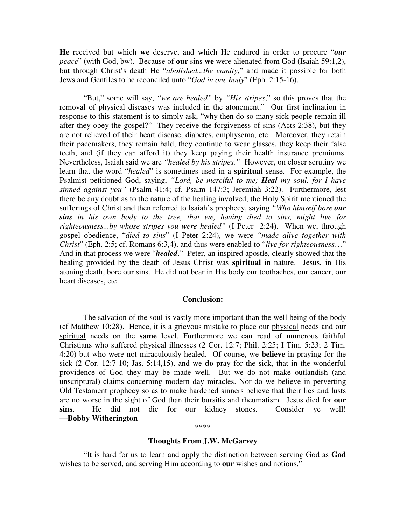**He** received but which **we** deserve, and which He endured in order to procure "*our peace*" (with God, bw). Because of **our** sins **we** were alienated from God (Isaiah 59:1,2), but through Christ's death He "*abolished...the enmity*," and made it possible for both Jews and Gentiles to be reconciled unto "*God in one body*" (Eph. 2:15-16).

"But," some will say, *"we are healed"* by *"His stripes*," so this proves that the removal of physical diseases was included in the atonement." Our first inclination in response to this statement is to simply ask, "why then do so many sick people remain ill after they obey the gospel?" They receive the forgiveness of sins (Acts 2:38), but they are not relieved of their heart disease, diabetes, emphysema, etc. Moreover, they retain their pacemakers, they remain bald, they continue to wear glasses, they keep their false teeth, and (if they can afford it) they keep paying their health insurance premiums. Nevertheless, Isaiah said we are *"healed by his stripes."* However, on closer scrutiny we learn that the word "*healed*" is sometimes used in a **spiritual** sense. For example, the Psalmist petitioned God, saying, *"Lord, be merciful to me; Heal my soul, for I have sinned against you"* (Psalm 41:4; cf. Psalm 147:3; Jeremiah 3:22). Furthermore, lest there be any doubt as to the nature of the healing involved, the Holy Spirit mentioned the sufferings of Christ and then referred to Isaiah's prophecy, saying *"Who himself bore our sins in his own body to the tree, that we, having died to sins, might live for righteousness...by whose stripes you were healed"* (I Peter 2:24). When we, through gospel obedience, "*died to sins*" (I Peter 2:24), we were *"made alive together with Christ*" (Eph. 2:5; cf. Romans 6:3,4), and thus were enabled to "*live for righteousness*…" And in that process we were "*healed*." Peter, an inspired apostle, clearly showed that the healing provided by the death of Jesus Christ was **spiritual** in nature. Jesus, in His atoning death, bore our sins. He did not bear in His body our toothaches, our cancer, our heart diseases, etc

#### **Conclusion:**

The salvation of the soul is vastly more important than the well being of the body (cf Matthew 10:28). Hence, it is a grievous mistake to place our physical needs and our spiritual needs on the **same** level. Furthermore we can read of numerous faithful Christians who suffered physical illnesses (2 Cor. 12:7; Phil. 2:25; I Tim. 5:23; 2 Tim. 4:20) but who were not miraculously healed. Of course, we **believe** in praying for the sick (2 Cor. 12:7-10; Jas. 5:14,15), and we **do** pray for the sick, that in the wonderful providence of God they may be made well. But we do not make outlandish (and unscriptural) claims concerning modern day miracles. Nor do we believe in perverting Old Testament prophecy so as to make hardened sinners believe that their lies and lusts are no worse in the sight of God than their bursitis and rheumatism. Jesus died for **our sins**. He did not die for our kidney stones. Consider ye well! **—Bobby Witherington**

#### \*\*\*\*

#### **Thoughts From J.W. McGarvey**

"It is hard for us to learn and apply the distinction between serving God as **God** wishes to be served, and serving Him according to **our** wishes and notions."